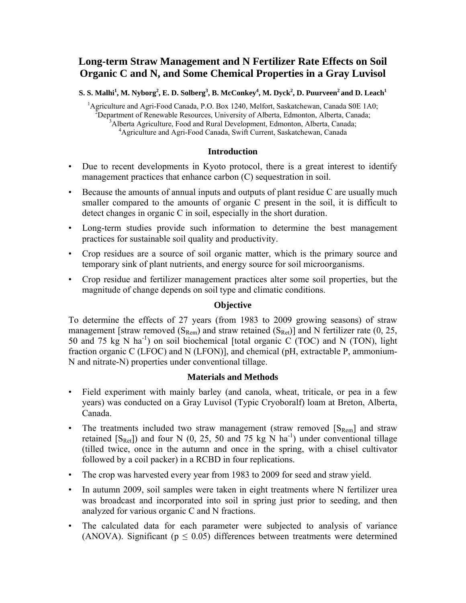# **Long-term Straw Management and N Fertilizer Rate Effects on Soil Organic C and N, and Some Chemical Properties in a Gray Luvisol**

 $\bf S. \ S. \ Malhi<sup>1</sup>, \ M. \ Nyborg<sup>2</sup>, \ E. \ D. \ Solberg<sup>3</sup>, \ B. \ McConkey<sup>4</sup>, \ M. \ Dyck<sup>2</sup>, \ D. \ Puurveen<sup>2</sup> and \ D. \ Leach<sup>1</sup>$ 

<sup>1</sup>Agriculture and Agri-Food Canada, P.O. Box 1240, Melfort, Saskatchewan, Canada S0E 1A0;  ${}^{2}$ Department of Renewable Resources, University of Alberta, Edmonton, Alberta, Canada;  ${}^{3}$ Alberta, Agricultura, Eood and Bural Development, Edmonton, Alberta, Canada; <sup>3</sup>Alberta Agriculture, Food and Rural Development, Edmonton, Alberta, Canada; Agriculture and Agri-Food Canada, Swift Current, Saskatchewan, Canada

### **Introduction**

- Due to recent developments in Kyoto protocol, there is a great interest to identify management practices that enhance carbon (C) sequestration in soil.
- Because the amounts of annual inputs and outputs of plant residue C are usually much smaller compared to the amounts of organic C present in the soil, it is difficult to detect changes in organic C in soil, especially in the short duration.
- Long-term studies provide such information to determine the best management practices for sustainable soil quality and productivity.
- Crop residues are a source of soil organic matter, which is the primary source and temporary sink of plant nutrients, and energy source for soil microorganisms.
- Crop residue and fertilizer management practices alter some soil properties, but the magnitude of change depends on soil type and climatic conditions.

## **Objective**

To determine the effects of 27 years (from 1983 to 2009 growing seasons) of straw management [straw removed  $(S_{\text{Rem}})$  and straw retained  $(S_{\text{Ret}})$ ] and N fertilizer rate (0, 25, 50 and 75 kg N  $\text{ha}^{-1}$ ) on soil biochemical [total organic C (TOC) and N (TON), light fraction organic C (LFOC) and N (LFON)], and chemical (pH, extractable P, ammonium-N and nitrate-N) properties under conventional tillage.

## **Materials and Methods**

- Field experiment with mainly barley (and canola, wheat, triticale, or pea in a few years) was conducted on a Gray Luvisol (Typic Cryoboralf) loam at Breton, Alberta, Canada.
- The treatments included two straw management (straw removed  $[S_{\text{Rem}}]$  and straw retained  $[S<sub>Ret</sub>]$  and four N (0, 25, 50 and 75 kg N ha<sup>-1</sup>) under conventional tillage (tilled twice, once in the autumn and once in the spring, with a chisel cultivator followed by a coil packer) in a RCBD in four replications.
- The crop was harvested every year from 1983 to 2009 for seed and straw yield.
- In autumn 2009, soil samples were taken in eight treatments where N fertilizer urea was broadcast and incorporated into soil in spring just prior to seeding, and then analyzed for various organic C and N fractions.
- The calculated data for each parameter were subjected to analysis of variance (ANOVA). Significant ( $p \le 0.05$ ) differences between treatments were determined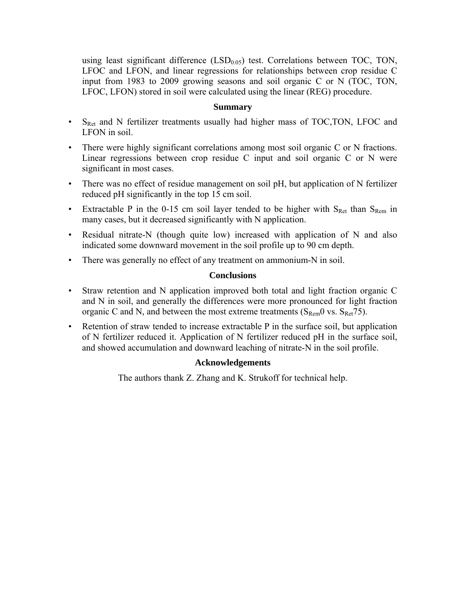using least significant difference  $(LSD<sub>0.05</sub>)$  test. Correlations between TOC, TON, LFOC and LFON, and linear regressions for relationships between crop residue C input from 1983 to 2009 growing seasons and soil organic C or N (TOC, TON, LFOC, LFON) stored in soil were calculated using the linear (REG) procedure.

## **Summary**

- S<sub>Ret</sub> and N fertilizer treatments usually had higher mass of TOC,TON, LFOC and LFON in soil.
- There were highly significant correlations among most soil organic C or N fractions. Linear regressions between crop residue C input and soil organic C or N were significant in most cases.
- There was no effect of residue management on soil pH, but application of N fertilizer reduced pH significantly in the top 15 cm soil.
- Extractable P in the 0-15 cm soil layer tended to be higher with  $S_{\text{Ret}}$  than  $S_{\text{Rem}}$  in many cases, but it decreased significantly with N application.
- Residual nitrate-N (though quite low) increased with application of N and also indicated some downward movement in the soil profile up to 90 cm depth.
- There was generally no effect of any treatment on ammonium-N in soil.

## **Conclusions**

- Straw retention and N application improved both total and light fraction organic C and N in soil, and generally the differences were more pronounced for light fraction organic C and N, and between the most extreme treatments ( $S_{\text{Rem}}$ 0 vs.  $S_{\text{Ret}}$ 75).
- Retention of straw tended to increase extractable P in the surface soil, but application of N fertilizer reduced it. Application of N fertilizer reduced pH in the surface soil, and showed accumulation and downward leaching of nitrate-N in the soil profile.

## **Acknowledgements**

The authors thank Z. Zhang and K. Strukoff for technical help.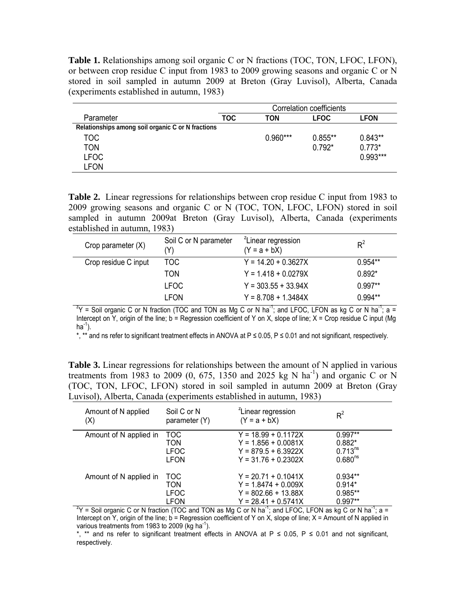**Table 1.** Relationships among soil organic C or N fractions (TOC, TON, LFOC, LFON), or between crop residue C input from 1983 to 2009 growing seasons and organic C or N stored in soil sampled in autumn 2009 at Breton (Gray Luvisol), Alberta, Canada (experiments established in autumn, 1983)

|                                                   |     | Correlation coefficients |             |             |  |
|---------------------------------------------------|-----|--------------------------|-------------|-------------|--|
| Parameter                                         | TOC | TON                      | <b>LFOC</b> | <b>LFON</b> |  |
| Relationships among soil organic C or N fractions |     |                          |             |             |  |
| TOC.                                              |     | $0.960***$               | $0.855**$   | $0.843**$   |  |
| TON                                               |     |                          | $0.792*$    | $0.773*$    |  |
| <b>LFOC</b>                                       |     |                          |             | $0.993***$  |  |
| LFON                                              |     |                          |             |             |  |

**Table 2.** Linear regressions for relationships between crop residue C input from 1983 to 2009 growing seasons and organic C or N (TOC, TON, LFOC, LFON) stored in soil sampled in autumn 2009at Breton (Gray Luvisol), Alberta, Canada (experiments established in autumn, 1983)

| Crop parameter $(X)$ | Soil C or N parameter<br>(Y) | <sup>2</sup> Linear regression<br>$(Y = a + bX)$                                                                                      | $R^2$     |
|----------------------|------------------------------|---------------------------------------------------------------------------------------------------------------------------------------|-----------|
| Crop residue C input | TOC                          | $Y = 14.20 + 0.3627X$                                                                                                                 | $0.954**$ |
|                      | <b>TON</b>                   | $Y = 1.418 + 0.0279X$                                                                                                                 | $0.892*$  |
|                      | <b>LFOC</b>                  | $Y = 303.55 + 33.94X$                                                                                                                 | $0.997**$ |
|                      | <b>LFON</b>                  | $Y = 8.708 + 1.3484X$                                                                                                                 | $0.994**$ |
|                      |                              | $^2$ Y = Soil organic C or N fraction (TOC and TON as Mg C or N ha <sup>-1</sup> ; and LFOC, LFON as kg C or N ha <sup>-1</sup> ; a = |           |

Intercept on Y, origin of the line;  $b =$  Regression coefficient of Y on X, slope of line;  $X =$  Crop residue C input (Mg  $ha^{-1}$ ).

\*, \*\* and ns refer to significant treatment effects in ANOVA at P ≤ 0.05, P ≤ 0.01 and not significant, respectively.

Table 3. Linear regressions for relationships between the amount of N applied in various treatments from 1983 to 2009 (0, 675, 1350 and 2025 kg N ha<sup>-1</sup>) and organic C or N (TOC, TON, LFOC, LFON) stored in soil sampled in autumn 2009 at Breton (Gray Luvisol), Alberta, Canada (experiments established in autumn, 1983)

| Amount of N applied<br>(X)                                                                                                                     | Soil C or N<br>parameter (Y) | <sup>2</sup> Linear regression<br>$(Y = a + bX)$ | $R^2$               |  |  |
|------------------------------------------------------------------------------------------------------------------------------------------------|------------------------------|--------------------------------------------------|---------------------|--|--|
| Amount of N applied in                                                                                                                         | TOC                          | $Y = 18.99 + 0.1172X$                            | $0.997**$           |  |  |
|                                                                                                                                                | <b>TON</b>                   | $Y = 1.856 + 0.0081X$                            | $0.882*$            |  |  |
|                                                                                                                                                | <b>LFOC</b>                  | $Y = 879.5 + 6.3922X$                            | $0.713^{ns}$        |  |  |
|                                                                                                                                                | LFON                         | $Y = 31.76 + 0.2302X$                            | 0.680 <sup>ns</sup> |  |  |
| Amount of N applied in                                                                                                                         | TOC.                         | $Y = 20.71 + 0.1041X$                            | $0.934**$           |  |  |
|                                                                                                                                                | <b>TON</b>                   | $Y = 1.8474 + 0.009X$                            | $0.914*$            |  |  |
|                                                                                                                                                | <b>LFOC</b>                  | $Y = 802.66 + 13.88X$                            | $0.985**$           |  |  |
|                                                                                                                                                | LFON                         | $Y = 28.41 + 0.5741X$                            | $0.997**$           |  |  |
| $\frac{2}{1}$ Y = Soil organic C or N fraction (TOC and TON as Mg C or N ha <sup>-1</sup> ; and LFOC, LFON as kg C or N ha <sup>-1</sup> ; a = |                              |                                                  |                     |  |  |

Intercept on Y, origin of the line; b = Regression coefficient of Y on X, slope of line; X = Amount of N applied in various treatments from 1983 to 2009 (kg ha $^{-1}$ ).

\*, \*\* and ns refer to significant treatment effects in ANOVA at  $P \le 0.05$ ,  $P \le 0.01$  and not significant, respectively.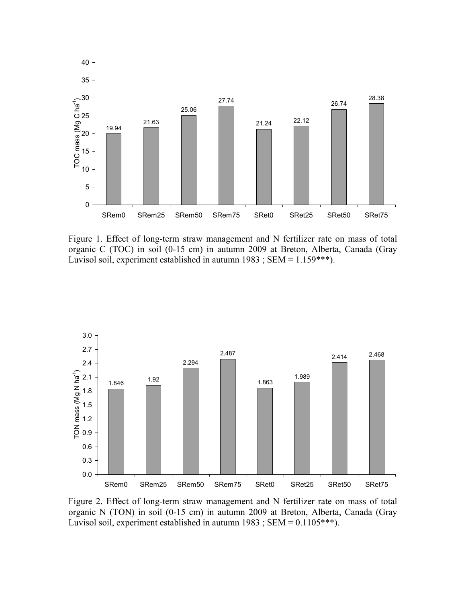

Figure 1. Effect of long-term straw management and N fertilizer rate on mass of total organic C (TOC) in soil (0-15 cm) in autumn 2009 at Breton, Alberta, Canada (Gray Luvisol soil, experiment established in autumn 1983; SEM = 1.159\*\*\*).



Figure 2. Effect of long-term straw management and N fertilizer rate on mass of total organic N (TON) in soil (0-15 cm) in autumn 2009 at Breton, Alberta, Canada (Gray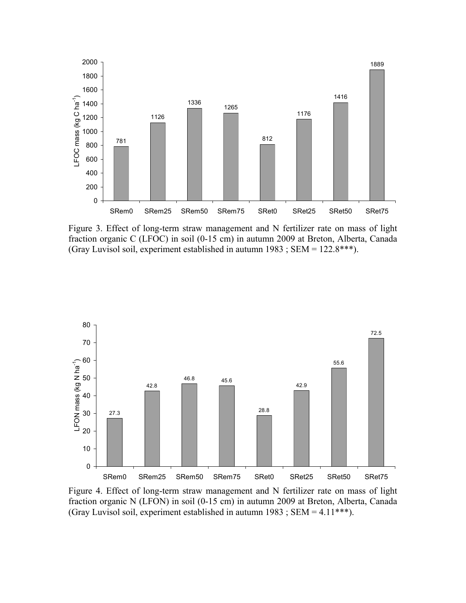

Figure 3. Effect of long-term straw management and N fertilizer rate on mass of light fraction organic C (LFOC) in soil (0-15 cm) in autumn 2009 at Breton, Alberta, Canada (Gray Luvisol soil, experiment established in autumn 1983 ; SEM = 122.8\*\*\*).



Figure 4. Effect of long-term straw management and N fertilizer rate on mass of light fraction organic N (LFON) in soil (0-15 cm) in autumn 2009 at Breton, Alberta, Canada (Gray Luvisol soil, experiment established in autumn  $1983$ ; SEM = 4.11\*\*\*).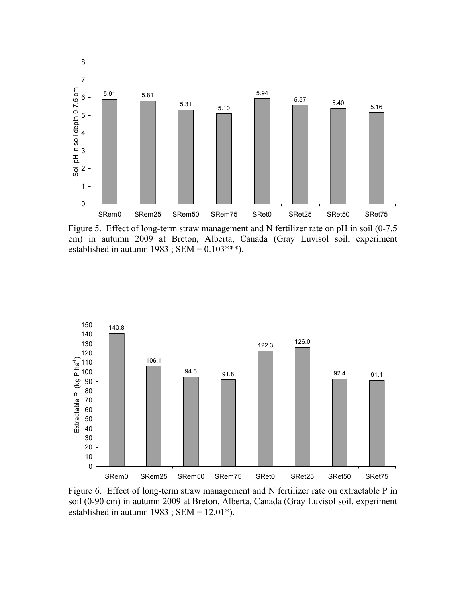

Figure 5. Effect of long-term straw management and N fertilizer rate on pH in soil (0-7.5 cm) in autumn 2009 at Breton, Alberta, Canada (Gray Luvisol soil, experiment established in autumn 1983 ; SEM =  $0.103***$ ).



Figure 6. Effect of long-term straw management and N fertilizer rate on extractable P in soil (0-90 cm) in autumn 2009 at Breton, Alberta, Canada (Gray Luvisol soil, experiment